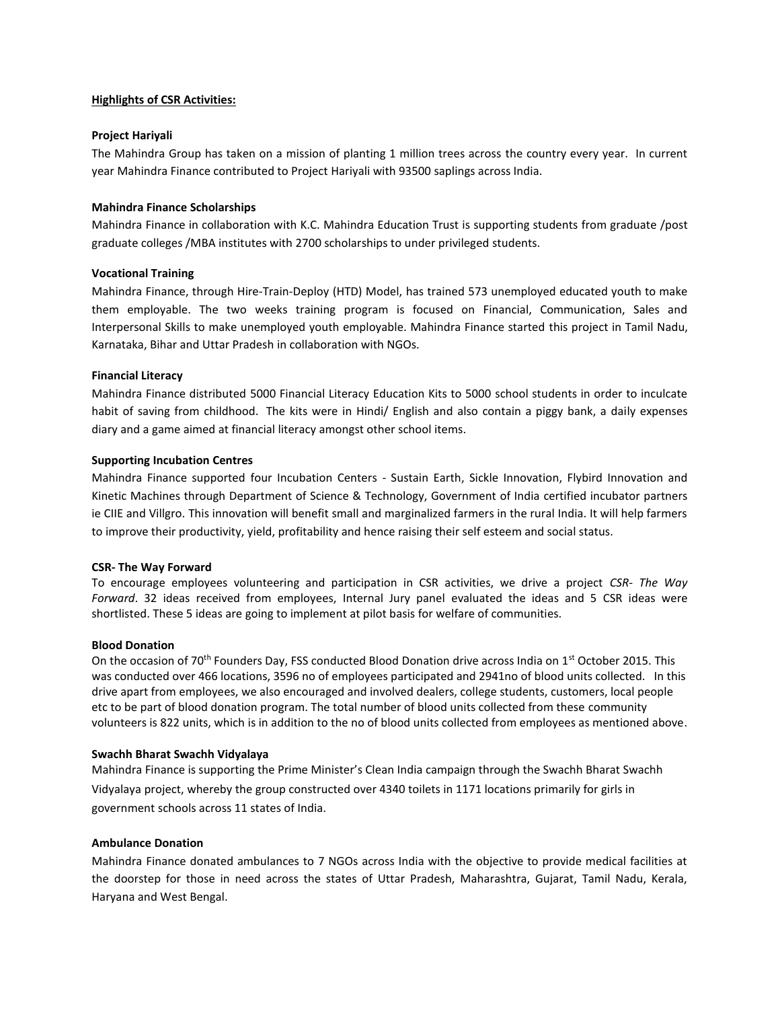# **Highlights of CSR Activities:**

## **Project Hariyali**

The Mahindra Group has taken on a mission of planting 1 million trees across the country every year. In current year Mahindra Finance contributed to Project Hariyali with 93500 saplings across India.

## **Mahindra Finance Scholarships**

Mahindra Finance in collaboration with K.C. Mahindra Education Trust is supporting students from graduate /post graduate colleges /MBA institutes with 2700 scholarships to under privileged students.

## **Vocational Training**

Mahindra Finance, through Hire-Train-Deploy (HTD) Model, has trained 573 unemployed educated youth to make them employable. The two weeks training program is focused on Financial, Communication, Sales and Interpersonal Skills to make unemployed youth employable. Mahindra Finance started this project in Tamil Nadu, Karnataka, Bihar and Uttar Pradesh in collaboration with NGOs.

## **Financial Literacy**

Mahindra Finance distributed 5000 Financial Literacy Education Kits to 5000 school students in order to inculcate habit of saving from childhood. The kits were in Hindi/ English and also contain a piggy bank, a daily expenses diary and a game aimed at financial literacy amongst other school items.

# **Supporting Incubation Centres**

Mahindra Finance supported four Incubation Centers - Sustain Earth, Sickle Innovation, Flybird Innovation and Kinetic Machines through Department of Science & Technology, Government of India certified incubator partners ie CIIE and Villgro. This innovation will benefit small and marginalized farmers in the rural India. It will help farmers to improve their productivity, yield, profitability and hence raising their self esteem and social status.

### **CSR- The Way Forward**

To encourage employees volunteering and participation in CSR activities, we drive a project *CSR- The Way Forward*. 32 ideas received from employees, Internal Jury panel evaluated the ideas and 5 CSR ideas were shortlisted. These 5 ideas are going to implement at pilot basis for welfare of communities.

### **Blood Donation**

On the occasion of 70<sup>th</sup> Founders Day, FSS conducted Blood Donation drive across India on  $1<sup>st</sup>$  October 2015. This was conducted over 466 locations, 3596 no of employees participated and 2941no of blood units collected. In this drive apart from employees, we also encouraged and involved dealers, college students, customers, local people etc to be part of blood donation program. The total number of blood units collected from these community volunteers is 822 units, which is in addition to the no of blood units collected from employees as mentioned above.

#### **Swachh Bharat Swachh Vidyalaya**

Mahindra Finance is supporting the Prime Minister's Clean India campaign through the Swachh Bharat Swachh Vidyalaya project, whereby the group constructed over 4340 toilets in 1171 locations primarily for girls in government schools across 11 states of India.

#### **Ambulance Donation**

Mahindra Finance donated ambulances to 7 NGOs across India with the objective to provide medical facilities at the doorstep for those in need across the states of Uttar Pradesh, Maharashtra, Gujarat, Tamil Nadu, Kerala, Haryana and West Bengal.